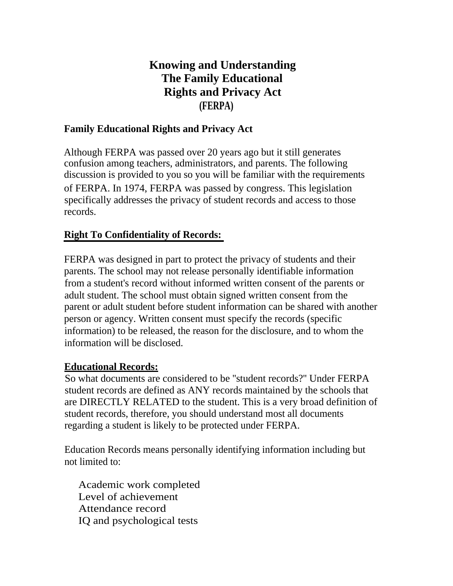# **Knowing and Understanding The Family Educational Rights and Privacy Act (FERPA)**

#### **Family Educational Rights and Privacy Act**

Although FERPA was passed over 20 years ago but it still generates confusion among teachers, administrators, and parents. The following discussion is provided to you so you will be familiar with the requirements of FERPA. In 1974, FERPA was passed by congress. This legislation specifically addresses the privacy of student records and access to those records.

### **Right To Confidentiality of Records:**

FERPA was designed in part to protect the privacy of students and their parents. The school may not release personally identifiable information from a student's record without informed written consent of the parents or adult student. The school must obtain signed written consent from the parent or adult student before student information can be shared with another person or agency. Written consent must specify the records (specific information) to be released, the reason for the disclosure, and to whom the information will be disclosed.

#### **Educational Records:**

So what documents are considered to be ''student records?'' Under FERPA student records are defined as ANY records maintained by the schools that are DIRECTLY RELATED to the student. This is a very broad definition of student records, therefore, you should understand most all documents regarding a student is likely to be protected under FERPA.

Education Records means personally identifying information including but not limited to:

Academic work completed Level of achievement Attendance record IQ and psychological tests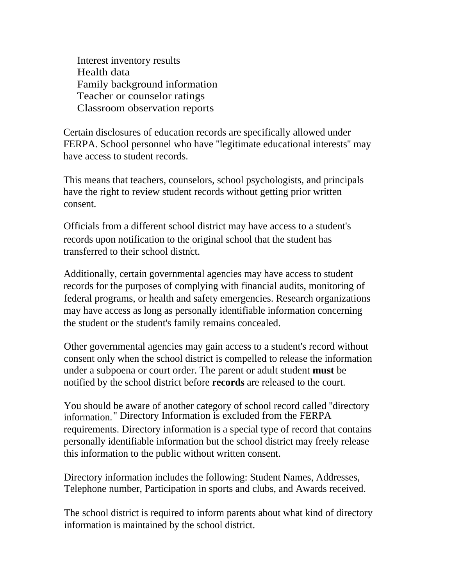Interest inventory results Health data Family background information Teacher or counselor ratings Classroom observation reports

Certain disclosures of education records are specifically allowed under FERPA. School personnel who have ''legitimate educational interests'' may have access to student records.

This means that teachers, counselors, school psychologists, and principals have the right to review student records without getting prior written consent.

Officials from a different school district may have access to a student's records upon notification to the original school that the student has . transferred to their school distnct.

Additionally, certain governmental agencies may have access to student records for the purposes of complying with financial audits, monitoring of federal programs, or health and safety emergencies. Research organizations may have access as long as personally identifiable information concerning the student or the student's family remains concealed.

Other governmental agencies may gain access to a student's record without consent only when the school district is compelled to release the information under a subpoena or court order. The parent or adult student **must** be notified by the school district before **records** are released to the court.

You should be aware of another category of school record called ''directory information.'' Directory Information is excluded from the FERPA requirements. Directory information is a special type of record that contains personally identifiable information but the school district may freely release this information to the public without written consent.

Directory information includes the following: Student Names, Addresses, Telephone number, Participation in sports and clubs, and Awards received.

The school district is required to inform parents about what kind of directory information is maintained by the school district.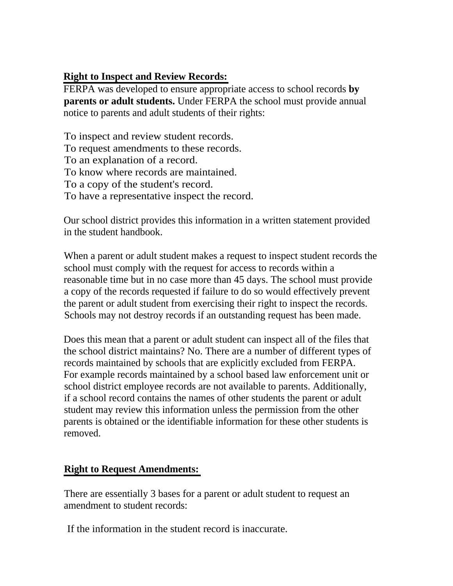## **Right to Inspect and Review Records:**

FERPA was developed to ensure appropriate access to school records **by parents or adult students.** Under FERPA the school must provide annual notice to parents and adult students of their rights:

To inspect and review student records. To request amendments to these records. To an explanation of a record. To know where records are maintained. To a copy of the student's record. To have a representative inspect the record.

Our school district provides this information in a written statement provided in the student handbook.

When a parent or adult student makes a request to inspect student records the school must comply with the request for access to records within a reasonable time but in no case more than 45 days. The school must provide a copy of the records requested if failure to do so would effectively prevent the parent or adult student from exercising their right to inspect the records. Schools may not destroy records if an outstanding request has been made.

Does this mean that a parent or adult student can inspect all of the files that the school district maintains? No. There are a number of different types of records maintained by schools that are explicitly excluded from FERPA. For example records maintained by a school based law enforcement unit or school district employee records are not available to parents. Additionally, if a school record contains the names of other students the parent or adult student may review this information unless the permission from the other parents is obtained or the identifiable information for these other students is removed.

### **Right to Request Amendments:**

There are essentially 3 bases for a parent or adult student to request an amendment to student records:

If the information in the student record is inaccurate.